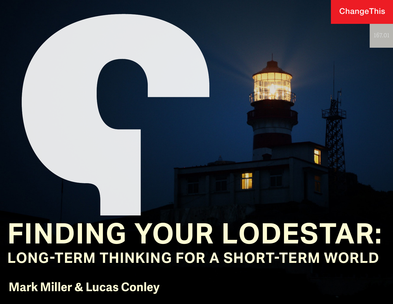### **ChangeThis**

# **FINDING YOUR LODESTAR: LONG-TERM THINKING FOR A SHORT-TERM WORLD**

**Mark Miller & Lucas Conley**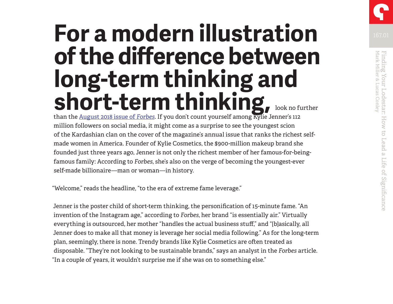## **For a modern illustration of the difference between long-term thinking and short-term thinking, look no further**

than the [August 2018 issue of](https://www.forbes.com/sites/forbesdigitalcovers/2018/07/11/how-20-year-old-kylie-jenner-built-a-900-million-fortune-in-less-than-3-years/) *Forbes*. If you don't count yourself among Kylie Jenner's 112 million followers on social media, it might come as a surprise to see the youngest scion of the Kardashian clan on the cover of the magazine's annual issue that ranks the richest selfmade women in America. Founder of Kylie Cosmetics, the \$900-million makeup brand she founded just three years ago, Jenner is not only the richest member of her famous-for-beingfamous family: According to *Forbes*, she's also on the verge of becoming the youngest-ever self-made billionaire—man or woman—in history.

"Welcome," reads the headline, "to the era of extreme fame leverage."

Jenner is the poster child of short-term thinking, the personification of 15-minute fame. "An invention of the Instagram age," according to *Forbes*, her brand "is essentially air." Virtually everything is outsourced, her mother "handles the actual business stuff," and "[b]asically, all Jenner does to make all that money is leverage her social media following." As for the long-term plan, seemingly, there is none. Trendy brands like Kylie Cosmetics are often treated as disposable. "They're not looking to be sustainable brands," says an analyst in the *Forbes* article. "In a couple of years, it wouldn't surprise me if she was on to something else."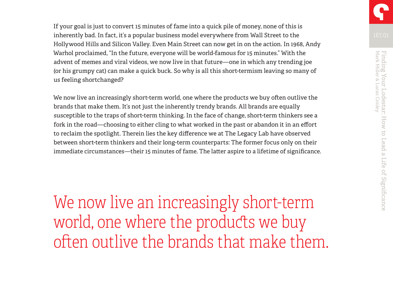If your goal is just to convert 15 minutes of fame into a quick pile of money, none of this is inherently bad. In fact, it's a popular business model everywhere from Wall Street to the Hollywood Hills and Silicon Valley. Even Main Street can now get in on the action. In 1968, Andy Warhol proclaimed, "In the future, everyone will be world-famous for 15 minutes." With the advent of memes and viral videos, we now live in that future—one in which any trending joe (or his grumpy cat) can make a quick buck. So why is all this short-termism leaving so many of us feeling shortchanged?

We now live an increasingly short-term world, one where the products we buy often outlive the brands that make them. It's not just the inherently trendy brands. All brands are equally susceptible to the traps of short-term thinking. In the face of change, short-term thinkers see a fork in the road—choosing to either cling to what worked in the past or abandon it in an effort to reclaim the spotlight. Therein lies the key difference we at The Legacy Lab have observed between short-term thinkers and their long-term counterparts: The former focus only on their immediate circumstances—their 15 minutes of fame. The latter aspire to a lifetime of significance.

We now live an increasingly short-term world, one where the products we buy often outlive the brands that make them.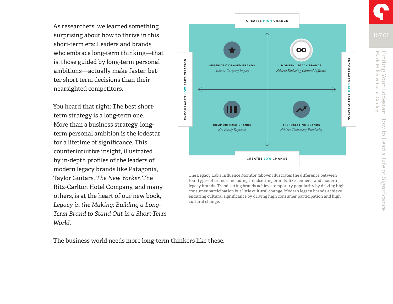As researchers, we learned something surprising about how to thrive in this short-term era: Leaders and brands who embrace long-term thinking—that is, those guided by long-term personal ambitions—actually make faster, better short-term decisions than their nearsighted competitors.

You heard that right: The best shortterm strategy is a long-term one. More than a business strategy, longterm personal ambition is the lodestar for a lifetime of significance. This counterintuitive insight, illustrated by in-depth profiles of the leaders of modern legacy brands like Patagonia, Taylor Guitars, *The New Yorker*, The Ritz-Carlton Hotel Company, and many others, is at the heart of our new book, *Legacy in the Making: Building a Long-Term Brand to Stand Out in a Short-Term World*.



four types of brands, including trendsetting brands, like Jenner's, and modern legacy brands. Trendsetting brands achieve temporary popularity by driving high consumer participation but little cultural change. Modern legacy brands achieve enduring cultural significance by driving high consumer participation and high cultural change. The Legacy Lab's Influence Monitor (above) illustrates the difference between

The business world needs more long-term thinkers like these.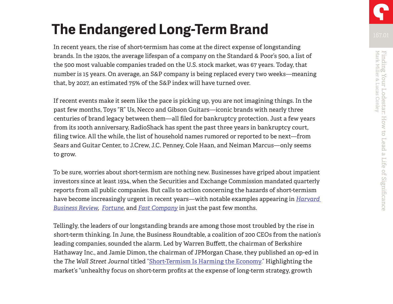### **The Endangered Long-Term Brand**

In recent years, the rise of short-termism has come at the direct expense of longstanding brands. In the 1920s, the average lifespan of a company on the Standard & Poor's 500, a list of the 500 most valuable companies traded on the U.S. stock market, was 67 years. Today, that number is 15 years. On average, an S&P company is being replaced every two weeks—meaning that, by 2027, an estimated 75% of the S&P index will have turned over.

If recent events make it seem like the pace is picking up, you are not imagining things. In the past few months, Toys "R" Us, Necco and Gibson Guitars—iconic brands with nearly three centuries of brand legacy between them—all filed for bankruptcy protection. Just a few years from its 100th anniversary, RadioShack has spent the past three years in bankruptcy court, filing twice. All the while, the list of household names rumored or reported to be next—from Sears and Guitar Center, to J.Crew, J.C. Penney, Cole Haan, and Neiman Marcus—only seems to grow.

To be sure, worries about short-termism are nothing new. Businesses have griped about impatient investors since at least 1934, when the Securities and Exchange Commission mandated quarterly reports from all public companies. But calls to action concerning the hazards of short-termism have become increasingly urgent in recent years—with notable examples appearing in *[Harvard](https://hbr.org/2018/05/why-ceos-should-push-back-against-short-termism)  [Business Review](https://hbr.org/2018/05/why-ceos-should-push-back-against-short-termism)*, *[Fortune](http://fortune.com/2018/05/21/companies-long-term-performance-fortune-500/)*, and *[Fast Company](https://www.fastcompany.com/40577938/our-obsession-with-performance-data-is-killing-performance)* in just the past few months.

Tellingly, the leaders of our longstanding brands are among those most troubled by the rise in short-term thinking. In June, the Business Roundtable, a coalition of 200 CEOs from the nation's leading companies, sounded the alarm. Led by Warren Buffett, the chairman of Berkshire Hathaway Inc., and Jamie Dimon, the chairman of JPMorgan Chase, they published an op-ed in the *The Wall Street Journal* titled ["Short-Termism Is Harming the Economy."](https://www.wsj.com/articles/short-termism-is-harming-the-economy-1528336801) Highlighting the market's "unhealthy focus on short-term profits at the expense of long-term strategy, growth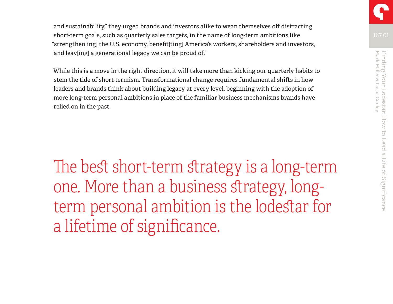and sustainability," they urged brands and investors alike to wean themselves off distracting short-term goals, such as quarterly sales targets, in the name of long-term ambitions like "strengthen[ing] the U.S. economy, benefit[ting] America's workers, shareholders and investors, and leav[ing] a generational legacy we can be proud of."

While this is a move in the right direction, it will take more than kicking our quarterly habits to stem the tide of short-termism. Transformational change requires fundamental shifts in how leaders and brands think about building legacy at every level, beginning with the adoption of more long-term personal ambitions in place of the familiar business mechanisms brands have relied on in the past.

The best short-term strategy is a long-term one. More than a business strategy, longterm personal ambition is the lodestar for a lifetime of significance.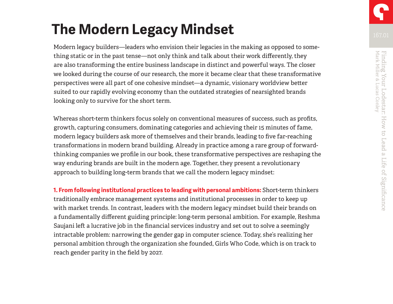## **The Modern Legacy Mindset**

Modern legacy builders—leaders who envision their legacies in the making as opposed to something static or in the past tense—not only think and talk about their work differently, they are also transforming the entire business landscape in distinct and powerful ways. The closer we looked during the course of our research, the more it became clear that these transformative perspectives were all part of one cohesive mindset—a dynamic, visionary worldview better suited to our rapidly evolving economy than the outdated strategies of nearsighted brands looking only to survive for the short term.

Whereas short-term thinkers focus solely on conventional measures of success, such as profits, growth, capturing consumers, dominating categories and achieving their 15 minutes of fame, modern legacy builders ask more of themselves and their brands, leading to five far-reaching transformations in modern brand building. Already in practice among a rare group of forwardthinking companies we profile in our book, these transformative perspectives are reshaping the way enduring brands are built in the modern age. Together, they present a revolutionary approach to building long-term brands that we call the modern legacy mindset:

**1. From following institutional practices to leading with personal ambitions:** Short-term thinkers traditionally embrace management systems and institutional processes in order to keep up with market trends. In contrast, leaders with the modern legacy mindset build their brands on a fundamentally different guiding principle: long-term personal ambition. For example, Reshma Saujani left a lucrative job in the financial services industry and set out to solve a seemingly intractable problem: narrowing the gender gap in computer science. Today, she's realizing her personal ambition through the organization she founded, Girls Who Code, which is on track to reach gender parity in the field by 2027.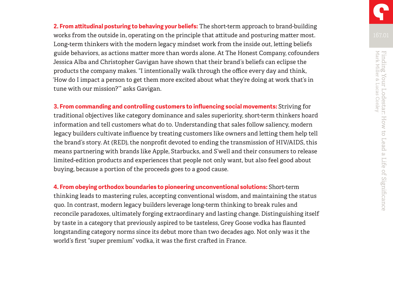**2. From attitudinal posturing to behaving your beliefs:** The short-term approach to brand-building works from the outside in, operating on the principle that attitude and posturing matter most. Long-term thinkers with the modern legacy mindset work from the inside out, letting beliefs guide behaviors, as actions matter more than words alone. At The Honest Company, cofounders Jessica Alba and Christopher Gavigan have shown that their brand's beliefs can eclipse the products the company makes. "I intentionally walk through the office every day and think, 'How do I impact a person to get them more excited about what they're doing at work that's in tune with our mission?'" asks Gavigan.

**3. From commanding and controlling customers to influencing social movements:** Striving for traditional objectives like category dominance and sales superiority, short-term thinkers hoard information and tell customers what do to. Understanding that sales follow saliency, modern legacy builders cultivate influence by treating customers like owners and letting them help tell the brand's story. At (RED), the nonprofit devoted to ending the transmission of HIV/AIDS, this means partnering with brands like Apple, Starbucks, and S'well and their consumers to release limited-edition products and experiences that people not only want, but also feel good about buying, because a portion of the proceeds goes to a good cause.

**4. From obeying orthodox boundaries to pioneering unconventional solutions:** Short-term thinking leads to mastering rules, accepting conventional wisdom, and maintaining the status quo. In contrast, modern legacy builders leverage long-term thinking to break rules and reconcile paradoxes, ultimately forging extraordinary and lasting change. Distinguishing itself by taste in a category that previously aspired to be tasteless, Grey Goose vodka has flaunted longstanding category norms since its debut more than two decades ago. Not only was it the world's first "super premium" vodka, it was the first crafted in France.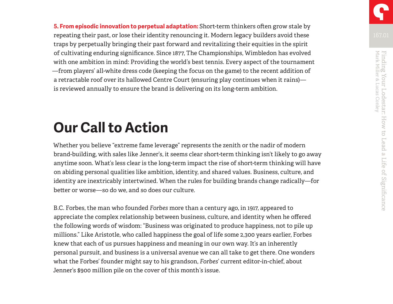**5. From episodic innovation to perpetual adaptation:** Short-term thinkers often grow stale by repeating their past, or lose their identity renouncing it. Modern legacy builders avoid these traps by perpetually bringing their past forward and revitalizing their equities in the spirit of cultivating enduring significance. Since 1877, The Championships, Wimbledon has evolved with one ambition in mind: Providing the world's best tennis. Every aspect of the tournament —from players' all-white dress code (keeping the focus on the game) to the recent addition of a retractable roof over its hallowed Centre Court (ensuring play continues when it rains) is reviewed annually to ensure the brand is delivering on its long-term ambition.

### **Our Call to Action**

Whether you believe "extreme fame leverage" represents the zenith or the nadir of modern brand-building, with sales like Jenner's, it seems clear short-term thinking isn't likely to go away anytime soon. What's less clear is the long-term impact the rise of short-term thinking will have on abiding personal qualities like ambition, identity, and shared values. Business, culture, and identity are inextricably intertwined. When the rules for building brands change radically—for better or worse—so do we, and so does our culture.

B.C. Forbes, the man who founded *Forbes* more than a century ago, in 1917, appeared to appreciate the complex relationship between business, culture, and identity when he offered the following words of wisdom: "Business was originated to produce happiness, not to pile up millions." Like Aristotle, who called happiness the goal of life some 2,300 years earlier, Forbes knew that each of us pursues happiness and meaning in our own way. It's an inherently personal pursuit, and business is a universal avenue we can all take to get there. One wonders what the Forbes' founder might say to his grandson, *Forbes*' current editor-in-chief, about Jenner's \$900 million pile on the cover of this month's issue.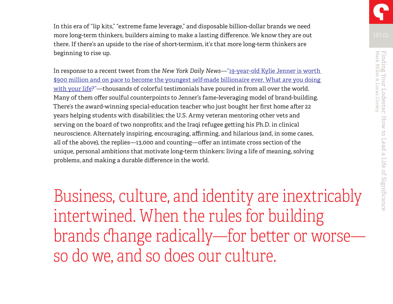In this era of "lip kits," "extreme fame leverage," and disposable billion-dollar brands we need more long-term thinkers, builders aiming to make a lasting difference. We know they are out there. If there's an upside to the rise of short-termism, it's that more long-term thinkers are beginning to rise up.

In response to a recent tweet from the *New York Daily News*—["19-year-old Kylie Jenner is worth](https://twitter.com/NYDailyNews/status/1017163333437358082)  [\\$900 million and on pace to become the youngest self-made billionaire ever. What are you doing](https://twitter.com/NYDailyNews/status/1017163333437358082)  [with your life?"—](https://twitter.com/NYDailyNews/status/1017163333437358082)thousands of colorful testimonials have poured in from all over the world. Many of them offer soulful counterpoints to Jenner's fame-leveraging model of brand-building. There's the award-winning special-education teacher who just bought her first home after 22 years helping students with disabilities; the U.S. Army veteran mentoring other vets and serving on the board of two nonprofits; and the Iraqi refugee getting his Ph.D. in clinical neuroscience. Alternately inspiring, encouraging, affirming, and hilarious (and, in some cases, all of the above), the replies—13,000 and counting—offer an intimate cross section of the unique, personal ambitions that motivate long-term thinkers: living a life of meaning, solving problems, and making a durable difference in the world.

Business, culture, and identity are inextricably intertwined. When the rules for building brands change radically—for better or worse so do we, and so does our culture.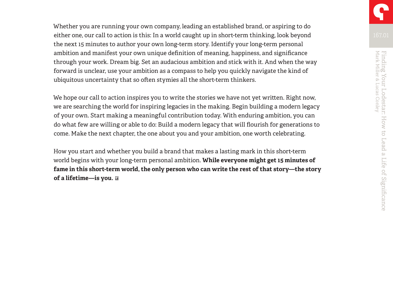Whether you are running your own company, leading an established brand, or aspiring to do either one, our call to action is this: In a world caught up in short-term thinking, look beyond the next 15 minutes to author your own long-term story. Identify your long-term personal ambition and manifest your own unique definition of meaning, happiness, and significance through your work. Dream big. Set an audacious ambition and stick with it. And when the way forward is unclear, use your ambition as a compass to help you quickly navigate the kind of ubiquitous uncertainty that so often stymies all the short-term thinkers.

We hope our call to action inspires you to write the stories we have not yet written. Right now, we are searching the world for inspiring legacies in the making. Begin building a modern legacy of your own. Start making a meaningful contribution today. With enduring ambition, you can do what few are willing or able to do: Build a modern legacy that will flourish for generations to come. Make the next chapter, the one about you and your ambition, one worth celebrating.

How you start and whether you build a brand that makes a lasting mark in this short-term world begins with your long-term personal ambition. **While everyone might get 15 minutes of fame in this short-term world, the only person who can write the rest of that story—the story of a lifetime—is you.**